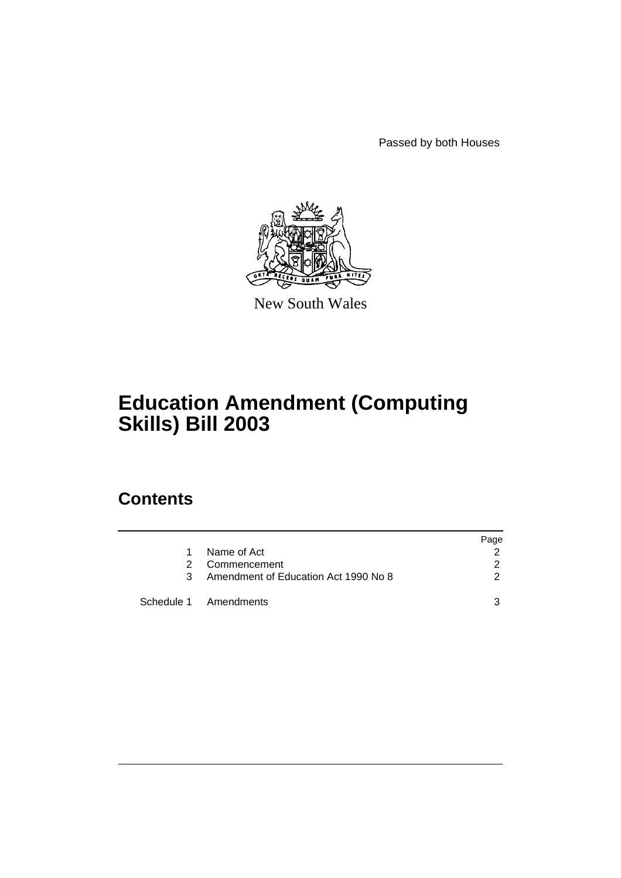Passed by both Houses



New South Wales

# **Education Amendment (Computing Skills) Bill 2003**

## **Contents**

|    |                                      | Page          |
|----|--------------------------------------|---------------|
| 1. | Name of Act                          | 2             |
| 2  | Commencement                         | 2             |
| 3  | Amendment of Education Act 1990 No 8 | $\mathcal{P}$ |
|    | Schedule 1 Amendments                | ঽ             |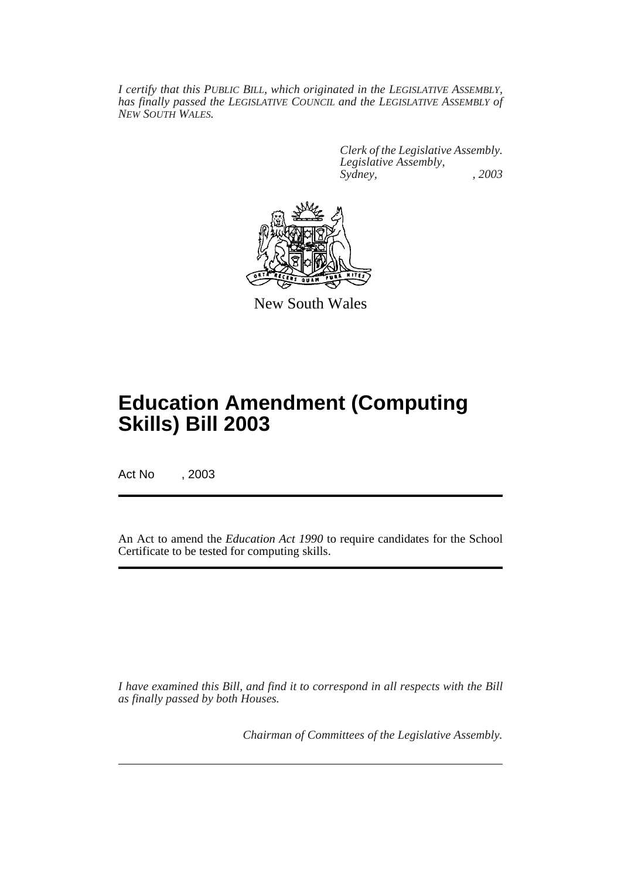*I certify that this PUBLIC BILL, which originated in the LEGISLATIVE ASSEMBLY, has finally passed the LEGISLATIVE COUNCIL and the LEGISLATIVE ASSEMBLY of NEW SOUTH WALES.*

> *Clerk of the Legislative Assembly. Legislative Assembly, Sydney, , 2003*



New South Wales

# **Education Amendment (Computing Skills) Bill 2003**

Act No , 2003

An Act to amend the *Education Act 1990* to require candidates for the School Certificate to be tested for computing skills.

*I have examined this Bill, and find it to correspond in all respects with the Bill as finally passed by both Houses.*

*Chairman of Committees of the Legislative Assembly.*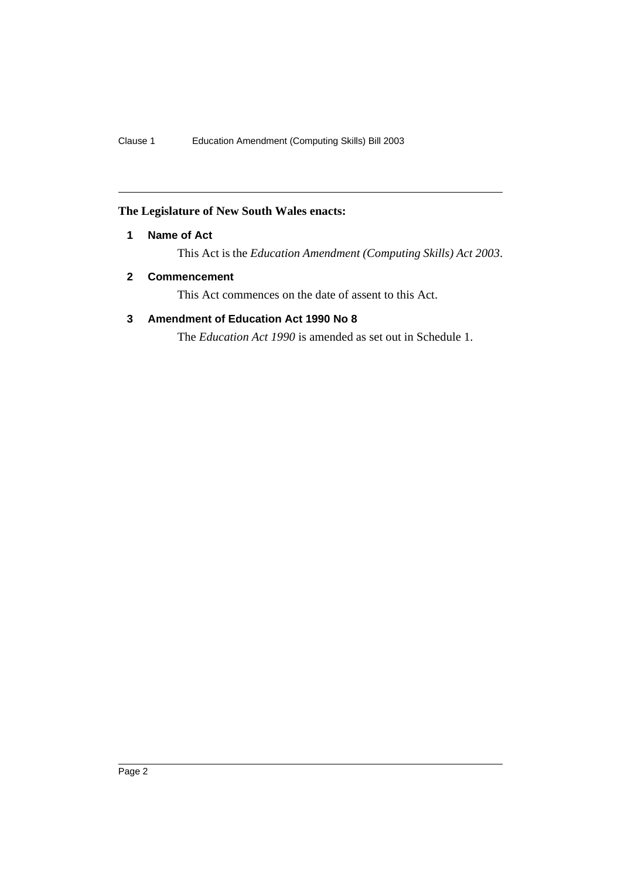### **The Legislature of New South Wales enacts:**

#### **1 Name of Act**

This Act is the *Education Amendment (Computing Skills) Act 2003*.

#### **2 Commencement**

This Act commences on the date of assent to this Act.

### **3 Amendment of Education Act 1990 No 8**

The *Education Act 1990* is amended as set out in Schedule 1.